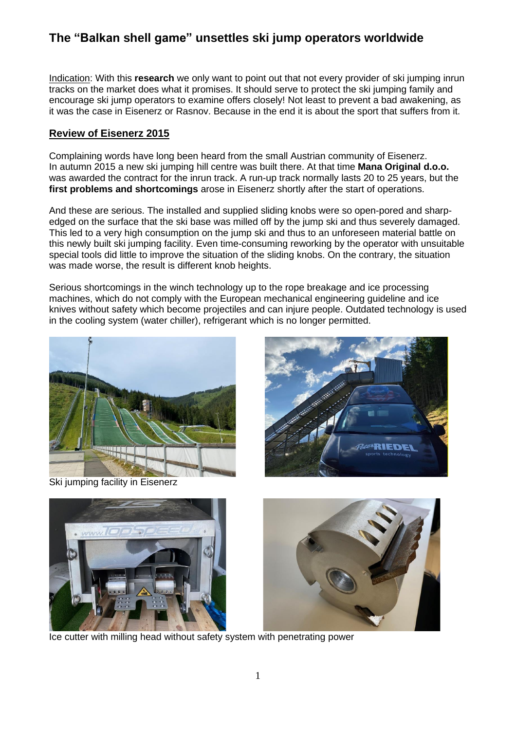Indication: With this **research** we only want to point out that not every provider of ski jumping inrun tracks on the market does what it promises. It should serve to protect the ski jumping family and encourage ski jump operators to examine offers closely! Not least to prevent a bad awakening, as it was the case in Eisenerz or Rasnov. Because in the end it is about the sport that suffers from it.

### **Review of Eisenerz 2015**

Complaining words have long been heard from the small Austrian community of Eisenerz. In autumn 2015 a new ski jumping hill centre was built there. At that time **Mana Original d.o.o.** was awarded the contract for the inrun track. A run-up track normally lasts 20 to 25 years, but the **first problems and shortcomings** arose in Eisenerz shortly after the start of operations.

And these are serious. The installed and supplied sliding knobs were so open-pored and sharpedged on the surface that the ski base was milled off by the jump ski and thus severely damaged. This led to a very high consumption on the jump ski and thus to an unforeseen material battle on this newly built ski jumping facility. Even time-consuming reworking by the operator with unsuitable special tools did little to improve the situation of the sliding knobs. On the contrary, the situation was made worse, the result is different knob heights.

Serious shortcomings in the winch technology up to the rope breakage and ice processing machines, which do not comply with the European mechanical engineering guideline and ice knives without safety which become projectiles and can injure people. Outdated technology is used in the cooling system (water chiller), refrigerant which is no longer permitted.



Ski jumping facility in Eisenerz





Ice cutter with milling head without safety system with penetrating power

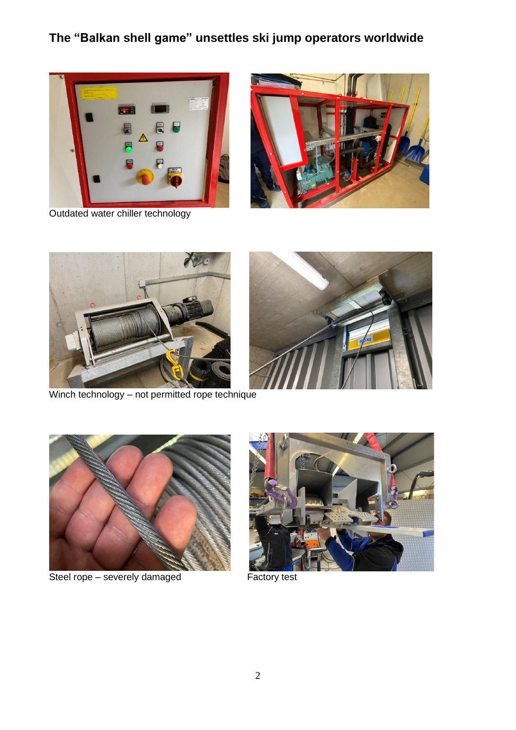

Outdated water chiller technology







Winch technology – not permitted rope technique



Steel rope – severely damaged Factory test

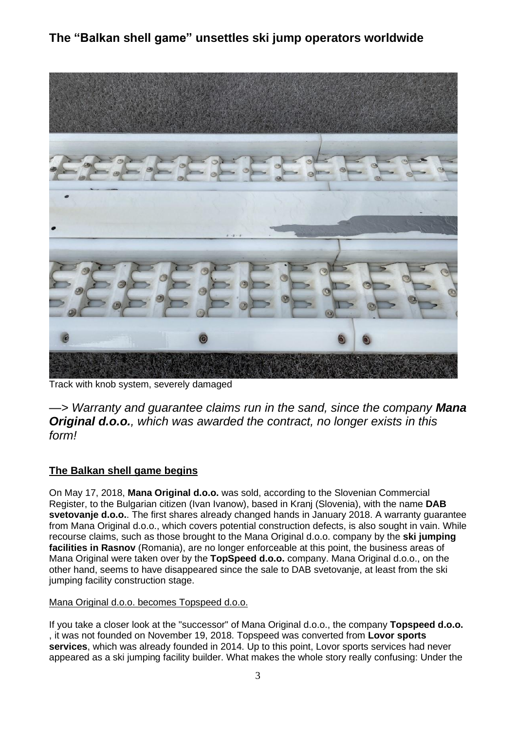

Track with knob system, severely damaged

*—> Warranty and guarantee claims run in the sand, since the company Mana Original d.o.o., which was awarded the contract, no longer exists in this form!*

## **The Balkan shell game begins**

On May 17, 2018, **Mana Original d.o.o.** was sold, according to the Slovenian Commercial Register, to the Bulgarian citizen (Ivan Ivanow), based in Kranj (Slovenia), with the name **DAB svetovanje d.o.o.**. The first shares already changed hands in January 2018. A warranty guarantee from Mana Original d.o.o., which covers potential construction defects, is also sought in vain. While recourse claims, such as those brought to the Mana Original d.o.o. company by the **ski jumping facilities in Rasnov** (Romania), are no longer enforceable at this point, the business areas of Mana Original were taken over by the **TopSpeed d.o.o.** company. Mana Original d.o.o., on the other hand, seems to have disappeared since the sale to DAB svetovanje, at least from the ski jumping facility construction stage.

### Mana Original d.o.o. becomes Topspeed d.o.o.

If you take a closer look at the "successor" of Mana Original d.o.o., the company **Topspeed d.o.o.** , it was not founded on November 19, 2018. Topspeed was converted from **Lovor sports services**, which was already founded in 2014. Up to this point, Lovor sports services had never appeared as a ski jumping facility builder. What makes the whole story really confusing: Under the